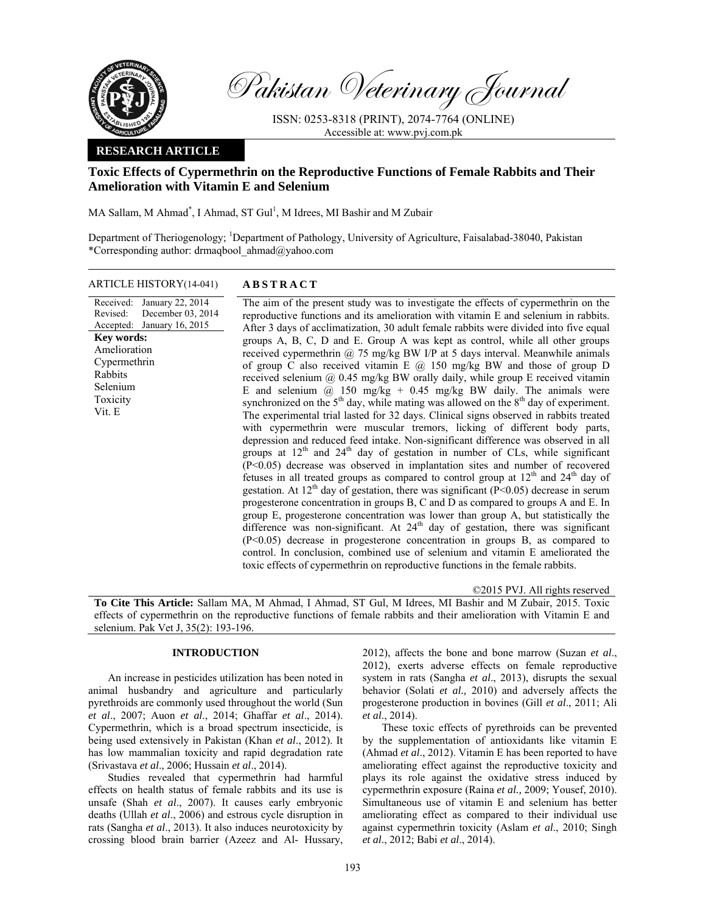

Pakistan Veterinary Journal

ISSN: 0253-8318 (PRINT), 2074-7764 (ONLINE) Accessible at: www.pvj.com.pk

# **RESEARCH ARTICLE**

# **Toxic Effects of Cypermethrin on the Reproductive Functions of Female Rabbits and Their Amelioration with Vitamin E and Selenium**

MA Sallam, M Ahmad<sup>\*</sup>, I Ahmad, ST Gul<sup>1</sup>, M Idrees, MI Bashir and M Zubair

Department of Theriogenology; <sup>1</sup>Department of Pathology, University of Agriculture, Faisalabad-38040, Pakistan \*Corresponding author: drmaqbool\_ahmad@yahoo.com

ARTICLE HISTORY(14-041) **ABSTRACT** 

Rabbits

Vit. E

Received: Revised: Accepted: January 22, 2014 December 03, 2014 January 16, 2015 The aim of the present study was to investigate the effects of cypermethrin on the reproductive functions and its amelioration with vitamin E and selenium in rabbits. After 3 days of acclimatization, 30 adult female rabbits were divided into five equal groups A, B, C, D and E. Group A was kept as control, while all other groups received cypermethrin @ 75 mg/kg BW I/P at 5 days interval. Meanwhile animals of group C also received vitamin E  $\omega$  150 mg/kg BW and those of group D received selenium  $(a)$  0.45 mg/kg BW orally daily, while group E received vitamin E and selenium  $\omega$  150 mg/kg + 0.45 mg/kg BW daily. The animals were synchronized on the  $5<sup>th</sup>$  day, while mating was allowed on the  $8<sup>th</sup>$  day of experiment. The experimental trial lasted for 32 days. Clinical signs observed in rabbits treated with cypermethrin were muscular tremors, licking of different body parts, depression and reduced feed intake. Non-significant difference was observed in all groups at  $12<sup>th</sup>$  and  $24<sup>th</sup>$  day of gestation in number of CLs, while significant (P<0.05) decrease was observed in implantation sites and number of recovered fetuses in all treated groups as compared to control group at  $12<sup>th</sup>$  and  $24<sup>th</sup>$  day of gestation. At  $12<sup>th</sup>$  day of gestation, there was significant (P<0.05) decrease in serum progesterone concentration in groups B, C and D as compared to groups A and E. In group E, progesterone concentration was lower than group A, but statistically the difference was non-significant. At  $24<sup>th</sup>$  day of gestation, there was significant (P<0.05) decrease in progesterone concentration in groups B, as compared to **Key words:**  Amelioration Cypermethrin Selenium Toxicity

©2015 PVJ. All rights reserved

**To Cite This Article:** Sallam MA, M Ahmad, I Ahmad, ST Gul, M Idrees, MI Bashir and M Zubair, 2015. Toxic effects of cypermethrin on the reproductive functions of female rabbits and their amelioration with Vitamin E and selenium. Pak Vet J, 35(2): 193-196.

control. In conclusion, combined use of selenium and vitamin E ameliorated the toxic effects of cypermethrin on reproductive functions in the female rabbits.

## **INTRODUCTION**

An increase in pesticides utilization has been noted in animal husbandry and agriculture and particularly pyrethroids are commonly used throughout the world (Sun *et al*., 2007; Auon *et al*., 2014; Ghaffar *et al*., 2014). Cypermethrin, which is a broad spectrum insecticide, is being used extensively in Pakistan (Khan *et al*., 2012). It has low mammalian toxicity and rapid degradation rate (Srivastava *et al*., 2006; Hussain *et al*., 2014).

Studies revealed that cypermethrin had harmful effects on health status of female rabbits and its use is unsafe (Shah *et al*., 2007). It causes early embryonic deaths (Ullah *et al*., 2006) and estrous cycle disruption in rats (Sangha *et al*., 2013). It also induces neurotoxicity by crossing blood brain barrier (Azeez and Al- Hussary,

2012), affects the bone and bone marrow (Suzan *et al*., 2012), exerts adverse effects on female reproductive system in rats (Sangha *et al*., 2013), disrupts the sexual behavior (Solati *et al.,* 2010) and adversely affects the progesterone production in bovines (Gill *et al*., 2011; Ali *et al*., 2014).

These toxic effects of pyrethroids can be prevented by the supplementation of antioxidants like vitamin E (Ahmad *et al*., 2012). Vitamin E has been reported to have ameliorating effect against the reproductive toxicity and plays its role against the oxidative stress induced by cypermethrin exposure (Raina *et al.,* 2009; Yousef, 2010). Simultaneous use of vitamin E and selenium has better ameliorating effect as compared to their individual use against cypermethrin toxicity (Aslam *et al*., 2010; Singh *et al*., 2012; Babi *et al*., 2014).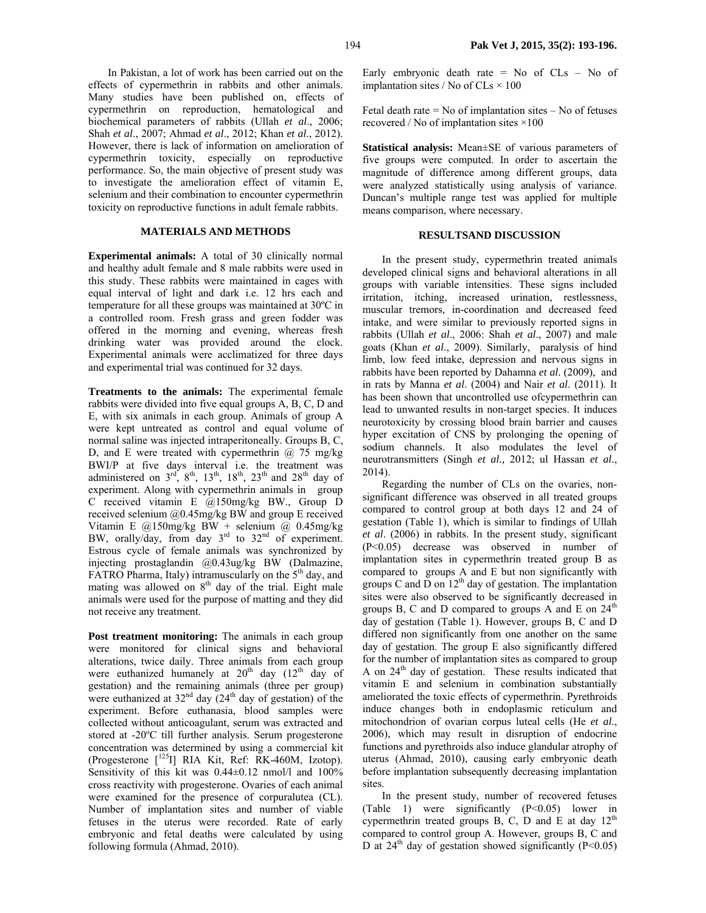In Pakistan, a lot of work has been carried out on the effects of cypermethrin in rabbits and other animals. Many studies have been published on, effects of cypermethrin on reproduction, hematological and biochemical parameters of rabbits (Ullah *et al*., 2006; Shah *et al*., 2007; Ahmad *et al*., 2012; Khan *et al*., 2012). However, there is lack of information on amelioration of cypermethrin toxicity, especially on reproductive performance. So, the main objective of present study was to investigate the amelioration effect of vitamin E, selenium and their combination to encounter cypermethrin toxicity on reproductive functions in adult female rabbits.

### **MATERIALS AND METHODS**

**Experimental animals:** A total of 30 clinically normal and healthy adult female and 8 male rabbits were used in this study. These rabbits were maintained in cages with equal interval of light and dark i.e. 12 hrs each and temperature for all these groups was maintained at 30ºC in a controlled room. Fresh grass and green fodder was offered in the morning and evening, whereas fresh drinking water was provided around the clock. Experimental animals were acclimatized for three days and experimental trial was continued for 32 days.

**Treatments to the animals:** The experimental female rabbits were divided into five equal groups A, B, C, D and E, with six animals in each group. Animals of group A were kept untreated as control and equal volume of normal saline was injected intraperitoneally. Groups B, C, D, and E were treated with cypermethrin  $\omega$  75 mg/kg BWI/P at five days interval i.e. the treatment was administered on  $3<sup>rd</sup>$ ,  $8<sup>th</sup>$ ,  $13<sup>th</sup>$ ,  $18<sup>th</sup>$ ,  $23<sup>th</sup>$  and  $28<sup>th</sup>$  day of experiment. Along with cypermethrin animals in group C received vitamin E @150mg/kg BW., Group D received selenium @0.45mg/kg BW and group E received Vitamin E @150mg/kg BW + selenium @ 0.45mg/kg BW, orally/day, from day  $3<sup>rd</sup>$  to  $32<sup>nd</sup>$  of experiment. Estrous cycle of female animals was synchronized by injecting prostaglandin @0.43ug/kg BW (Dalmazine, FATRO Pharma, Italy) intramuscularly on the  $5<sup>th</sup>$  day, and mating was allowed on  $8<sup>th</sup>$  day of the trial. Eight male animals were used for the purpose of matting and they did not receive any treatment.

**Post treatment monitoring:** The animals in each group were monitored for clinical signs and behavioral alterations, twice daily. Three animals from each group were euthanized humanely at  $20<sup>th</sup>$  day  $(12<sup>th</sup>$  day of gestation) and the remaining animals (three per group) were euthanized at  $32<sup>nd</sup>$  day  $(24<sup>th</sup>$  day of gestation) of the experiment. Before euthanasia, blood samples were collected without anticoagulant, serum was extracted and stored at -20°C till further analysis. Serum progesterone concentration was determined by using a commercial kit (Progesterone  $\lceil 125 \rceil$ ) RIA Kit, Ref: RK-460M, Izotop). Sensitivity of this kit was  $0.44 \pm 0.12$  nmol/l and  $100\%$ cross reactivity with progesterone. Ovaries of each animal were examined for the presence of corpuralutea (CL). Number of implantation sites and number of viable fetuses in the uterus were recorded. Rate of early embryonic and fetal deaths were calculated by using following formula (Ahmad, 2010).

Early embryonic death rate  $=$  No of CLs  $-$  No of implantation sites / No of  $CLs \times 100$ 

Fetal death rate  $=$  No of implantation sites  $-$  No of fetuses recovered / No of implantation sites ×100

**Statistical analysis:** Mean±SE of various parameters of five groups were computed. In order to ascertain the magnitude of difference among different groups, data were analyzed statistically using analysis of variance. Duncan's multiple range test was applied for multiple means comparison, where necessary.

## **RESULTSAND DISCUSSION**

In the present study, cypermethrin treated animals developed clinical signs and behavioral alterations in all groups with variable intensities. These signs included irritation, itching, increased urination, restlessness, muscular tremors, in-coordination and decreased feed intake, and were similar to previously reported signs in rabbits (Ullah *et al*., 2006: Shah *et al*., 2007) and male goats (Khan *et al*., 2009). Similarly, paralysis of hind limb, low feed intake, depression and nervous signs in rabbits have been reported by Dahamna *et al.* (2009), and in rats by Manna *et al*. (2004) and Nair *et al*. (2011). It has been shown that uncontrolled use ofcypermethrin can lead to unwanted results in non-target species. It induces neurotoxicity by crossing blood brain barrier and causes hyper excitation of CNS by prolonging the opening of sodium channels. It also modulates the level of neurotransmitters (Singh *et al.,* 2012; ul Hassan *et al*., 2014).

Regarding the number of CLs on the ovaries, nonsignificant difference was observed in all treated groups compared to control group at both days 12 and 24 of gestation (Table 1), which is similar to findings of Ullah *et al*. (2006) in rabbits. In the present study, significant (P<0.05) decrease was observed in number of implantation sites in cypermethrin treated group B as compared to groups A and E but non significantly with groups C and  $\overline{D}$  on  $12^{\text{th}}$  day of gestation. The implantation sites were also observed to be significantly decreased in groups B, C and D compared to groups A and E on  $24<sup>th</sup>$ day of gestation (Table 1). However, groups B, C and D differed non significantly from one another on the same day of gestation. The group E also significantly differed for the number of implantation sites as compared to group A on 24<sup>th</sup> day of gestation. These results indicated that vitamin E and selenium in combination substantially ameliorated the toxic effects of cypermethrin. Pyrethroids induce changes both in endoplasmic reticulum and mitochondrion of ovarian corpus luteal cells (He *et al*., 2006), which may result in disruption of endocrine functions and pyrethroids also induce glandular atrophy of uterus (Ahmad, 2010), causing early embryonic death before implantation subsequently decreasing implantation sites.

In the present study, number of recovered fetuses (Table 1) were significantly (P<0.05) lower in cypermethrin treated groups B, C, D and E at day  $12<sup>th</sup>$ compared to control group A. However, groups B, C and D at  $24<sup>th</sup>$  day of gestation showed significantly (P<0.05)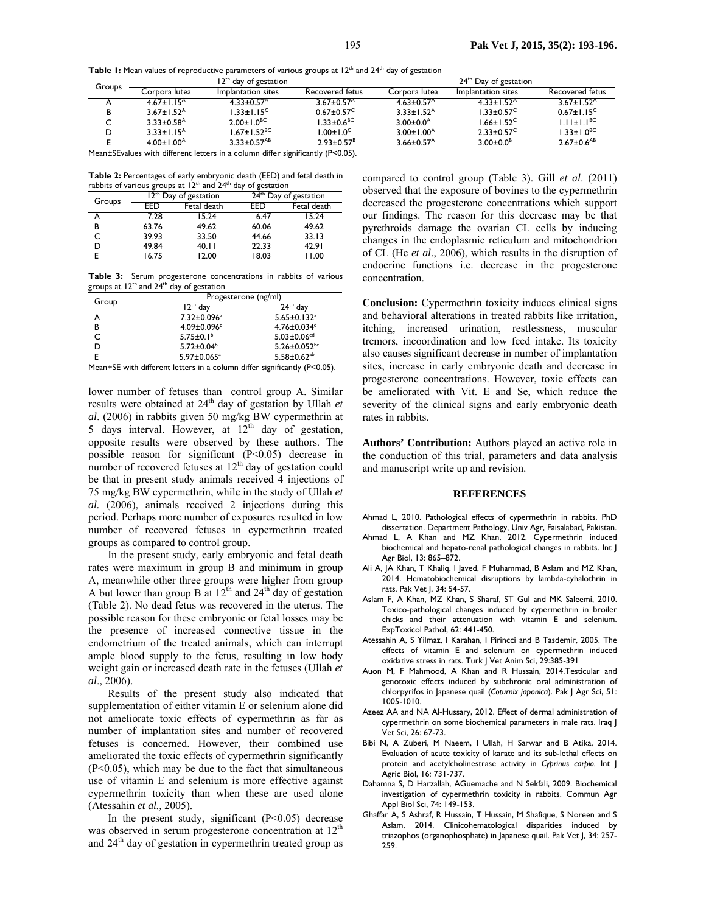**Table 1:** Mean values of reproductive parameters of various groups at 12<sup>th</sup> and 24<sup>th</sup> day of gestation

| Groups                      | $12th$ day of gestation      |                              |                              | 24 <sup>th</sup> Day of gestation |                         |                              |
|-----------------------------|------------------------------|------------------------------|------------------------------|-----------------------------------|-------------------------|------------------------------|
|                             | Corpora Iutea                | Implantation sites           | Recovered fetus              | Corpora lutea                     | Implantation sites      | Recovered fetus              |
|                             | $4.67 + 1.15^{A}$            | $4.33 \pm 0.57$ <sup>A</sup> | $3.67 + 0.57$ <sup>A</sup>   | $463+0.57A$                       | $4.33 + 1.52A$          | $3.67 + 1.52A$               |
| в                           | $3.67 \pm 1.52$ <sup>A</sup> | $1.33 \pm 1.15^{\circ}$      | $0.67 \pm 0.57$ <sup>C</sup> | $3.33 \pm 1.52$ <sup>A</sup>      | $1.33 \pm 0.57^{\circ}$ | $0.67 \pm 1.15$ <sup>C</sup> |
|                             | $3.33 \pm 0.58$ <sup>A</sup> | $2.00 \pm 1.0^{BC}$          | $1.33 \pm 0.68$ C            | $3.00 \pm 0.0^{\circ}$            | $1.66 \pm 1.52^{\circ}$ | $1.11 + 1.1BC$               |
|                             | $3.33 \pm 1.15$ <sup>A</sup> | $1.67 \pm 1.52^{\text{BC}}$  | $1.00 \pm 1.0^{\circ}$       | $3.00 \pm 1.00^{\circ}$           | $2.33 \pm 0.57^{\circ}$ | $1.33 \pm 1.0^{BC}$          |
| $\ddot{\phantom{1}}$<br>$-$ | $4.00 \pm 1.00^{\circ}$      | $3.33 \pm 0.57^{AB}$         | $2.93 \pm 0.57^8$            | $3.66 \pm 0.57$ <sup>A</sup>      | $3.00 \pm 0.0^8$        | $2.67 \pm 0.6^{AB}$          |

Mean±SEvalues with different letters in a column differ significantly (P<0.05).

**Table 2:** Percentages of early embryonic death (EED) and fetal death in rabbits of various groups at  $12<sup>th</sup>$  and  $24<sup>th</sup>$  day of gestation

|        | ີ                                 |             | ∼                       |             |
|--------|-----------------------------------|-------------|-------------------------|-------------|
| Groups | 12 <sup>th</sup> Day of gestation |             | $24th$ Day of gestation |             |
|        | EED                               | Fetal death | EED                     | Fetal death |
|        | 7.28                              | 15.24       | 6.47                    | 15.24       |
| В      | 63.76                             | 49.62       | 60.06                   | 49.62       |
| C      | 39.93                             | 33.50       | 44.66                   | 33.13       |
| D      | 49.84                             | 40.II       | 22.33                   | 42.91       |
|        | 16.75                             | 12.00       | 18.03                   | 11.00       |

**Table 3:** Serum progesterone concentrations in rabbits of various groups at  $12^{th}$  and  $24^{th}$  day of gestation

| Group                                                                     | Progesterone (ng/ml)          |                               |  |  |  |
|---------------------------------------------------------------------------|-------------------------------|-------------------------------|--|--|--|
|                                                                           | $12th$ day                    | $24th$ day                    |  |  |  |
| А                                                                         | 7.32±0.096 <sup>a</sup>       | $5.65 \pm 0.132$ <sup>a</sup> |  |  |  |
| B                                                                         | $4.09 \pm 0.096$ <sup>c</sup> | $4.76 \pm 0.034$ <sup>d</sup> |  |  |  |
| Ċ                                                                         | 5.75 $\pm$ 0.1 <sup>b</sup>   | $5.03 \pm 0.06$ <sup>cd</sup> |  |  |  |
| D                                                                         | $5.72 \pm 0.04^b$             | $5.26 \pm 0.052$ bc           |  |  |  |
| F                                                                         | 5.97±0.065 <sup>a</sup>       | $5.58 \pm 0.62$ <sup>ab</sup> |  |  |  |
| Mean+SE with different letters in a column differ significantly (P<0.05). |                               |                               |  |  |  |

lower number of fetuses than control group A. Similar results were obtained at 24<sup>th</sup> day of gestation by Ullah *et al*. (2006) in rabbits given 50 mg/kg BW cypermethrin at 5 days interval. However, at  $12<sup>th</sup>$  day of gestation, opposite results were observed by these authors. The possible reason for significant (P<0.05) decrease in number of recovered fetuses at  $12<sup>th</sup>$  day of gestation could be that in present study animals received 4 injections of 75 mg/kg BW cypermethrin, while in the study of Ullah *et al.* (2006), animals received 2 injections during this period. Perhaps more number of exposures resulted in low number of recovered fetuses in cypermethrin treated groups as compared to control group.

In the present study, early embryonic and fetal death rates were maximum in group B and minimum in group A, meanwhile other three groups were higher from group A but lower than group B at  $12^{th}$  and  $24^{th}$  day of gestation (Table 2). No dead fetus was recovered in the uterus. The possible reason for these embryonic or fetal losses may be the presence of increased connective tissue in the endometrium of the treated animals, which can interrupt ample blood supply to the fetus, resulting in low body weight gain or increased death rate in the fetuses (Ullah *et al*., 2006).

Results of the present study also indicated that supplementation of either vitamin E or selenium alone did not ameliorate toxic effects of cypermethrin as far as number of implantation sites and number of recovered fetuses is concerned. However, their combined use ameliorated the toxic effects of cypermethrin significantly  $(P<0.05)$ , which may be due to the fact that simultaneous use of vitamin E and selenium is more effective against cypermethrin toxicity than when these are used alone (Atessahin *et al.,* 2005).

In the present study, significant  $(P<0.05)$  decrease was observed in serum progesterone concentration at 12<sup>th</sup> and  $24<sup>th</sup>$  day of gestation in cypermethrin treated group as

compared to control group (Table 3). Gill *et al*. (2011) observed that the exposure of bovines to the cypermethrin decreased the progesterone concentrations which support our findings. The reason for this decrease may be that pyrethroids damage the ovarian CL cells by inducing changes in the endoplasmic reticulum and mitochondrion of CL (He *et al*., 2006), which results in the disruption of endocrine functions i.e. decrease in the progesterone concentration.

**Conclusion:** Cypermethrin toxicity induces clinical signs and behavioral alterations in treated rabbits like irritation, itching, increased urination, restlessness, muscular tremors, incoordination and low feed intake. Its toxicity also causes significant decrease in number of implantation sites, increase in early embryonic death and decrease in progesterone concentrations. However, toxic effects can be ameliorated with Vit. E and Se, which reduce the severity of the clinical signs and early embryonic death rates in rabbits.

**Authors' Contribution:** Authors played an active role in the conduction of this trial, parameters and data analysis and manuscript write up and revision.

#### **REFERENCES**

- Ahmad L, 2010. Pathological effects of cypermethrin in rabbits. PhD dissertation. Department Pathology, Univ Agr, Faisalabad, Pakistan.
- Ahmad L, A Khan and MZ Khan, 2012. Cypermethrin induced biochemical and hepato-renal pathological changes in rabbits. Int J Agr Biol, 13: 865–872.
- Ali A, JA Khan, T Khaliq, I Javed, F Muhammad, B Aslam and MZ Khan, 2014. Hematobiochemical disruptions by lambda-cyhalothrin in rats. Pak Vet J, 34: 54-57.
- Aslam F, A Khan, MZ Khan, S Sharaf, ST Gul and MK Saleemi, 2010. Toxico-pathological changes induced by cypermethrin in broiler chicks and their attenuation with vitamin E and selenium. ExpToxicol Pathol, 62: 441-450.
- Atessahin A, S Yilmaz, I Karahan, I Pirincci and B Tasdemir, 2005. The effects of vitamin E and selenium on cypermethrin induced oxidative stress in rats. Turk J Vet Anim Sci, 29:385-391
- Auon M, F Mahmood, A Khan and R Hussain, 2014.Testicular and genotoxic effects induced by subchronic oral administration of chlorpyrifos in Japanese quail (*Coturnix japonica*). Pak J Agr Sci, 51: 1005-1010.
- Azeez AA and NA Al-Hussary, 2012. Effect of dermal administration of cypermethrin on some biochemical parameters in male rats. Iraq J Vet Sci, 26: 67-73.
- Bibi N, A Zuberi, M Naeem, I Ullah, H Sarwar and B Atika, 2014. Evaluation of acute toxicity of karate and its sub-lethal effects on protein and acetylcholinestrase activity in *Cyprinus carpio.* Int J Agric Biol, 16: 731-737.
- Dahamna S, D Harzallah, AGuemache and N Sekfali, 2009. Biochemical investigation of cypermethrin toxicity in rabbits. Commun Agr Appl Biol Sci, 74: 149-153.
- Ghaffar A, S Ashraf, R Hussain, T Hussain, M Shafique, S Noreen and S Aslam, 2014. Clinicohematological disparities induced by triazophos (organophosphate) in Japanese quail. Pak Vet J, 34: 257- 259.